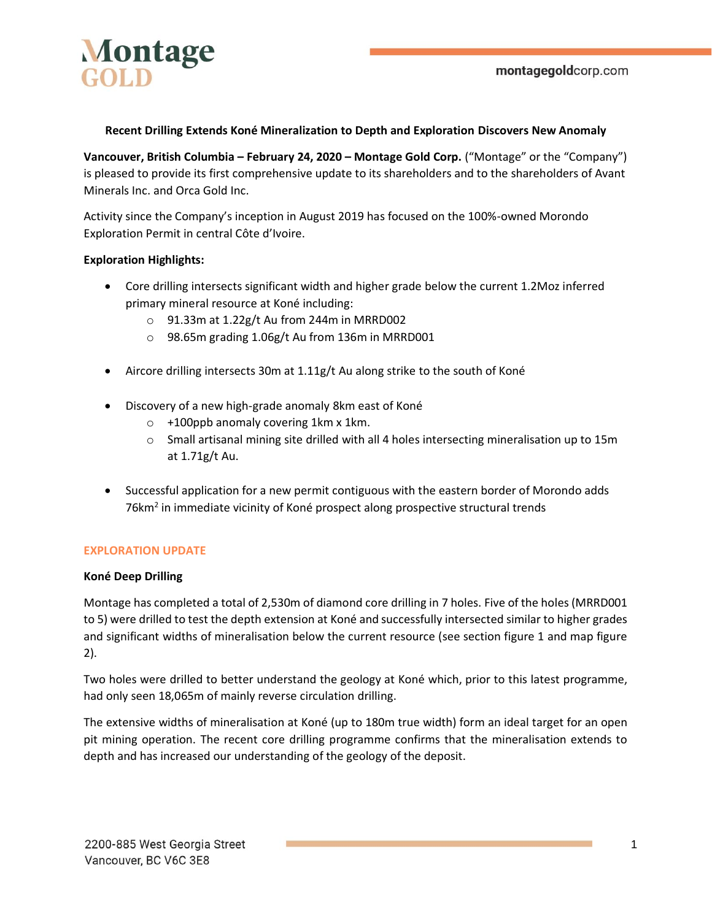

#### **Recent Drilling Extends Koné Mineralization to Depth and Exploration Discovers New Anomaly**

**Vancouver, British Columbia – February 24, 2020 – Montage Gold Corp.** ("Montage" or the "Company") is pleased to provide its first comprehensive update to its shareholders and to the shareholders of Avant Minerals Inc. and Orca Gold Inc.

Activity since the Company's inception in August 2019 has focused on the 100%-owned Morondo Exploration Permit in central Côte d'Ivoire.

#### **Exploration Highlights:**

- Core drilling intersects significant width and higher grade below the current 1.2Moz inferred primary mineral resource at Koné including:
	- o 91.33m at 1.22g/t Au from 244m in MRRD002
	- o 98.65m grading 1.06g/t Au from 136m in MRRD001
- Aircore drilling intersects 30m at 1.11g/t Au along strike to the south of Koné
- Discovery of a new high-grade anomaly 8km east of Koné
	- $\circ$  +100ppb anomaly covering 1km x 1km.
	- $\circ$  Small artisanal mining site drilled with all 4 holes intersecting mineralisation up to 15m at 1.71g/t Au.
- Successful application for a new permit contiguous with the eastern border of Morondo adds 76km<sup>2</sup> in immediate vicinity of Koné prospect along prospective structural trends

#### **EXPLORATION UPDATE**

#### **Koné Deep Drilling**

Montage has completed a total of 2,530m of diamond core drilling in 7 holes. Five of the holes (MRRD001 to 5) were drilled to test the depth extension at Koné and successfully intersected similar to higher grades and significant widths of mineralisation below the current resource (see section figure 1 and map figure 2).

Two holes were drilled to better understand the geology at Koné which, prior to this latest programme, had only seen 18,065m of mainly reverse circulation drilling.

The extensive widths of mineralisation at Koné (up to 180m true width) form an ideal target for an open pit mining operation. The recent core drilling programme confirms that the mineralisation extends to depth and has increased our understanding of the geology of the deposit.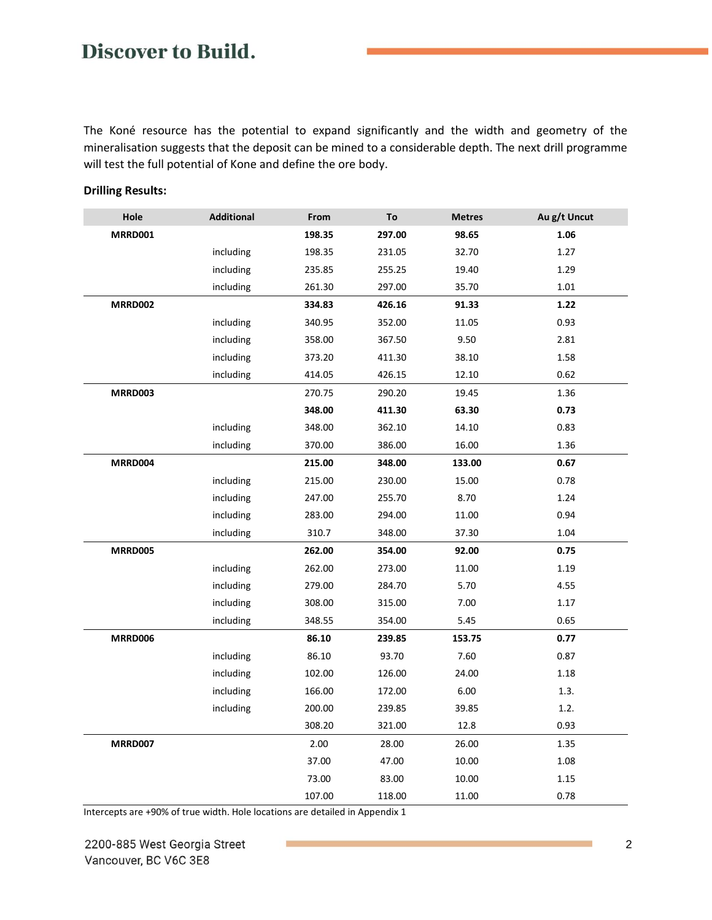The Koné resource has the potential to expand significantly and the width and geometry of the mineralisation suggests that the deposit can be mined to a considerable depth. The next drill programme will test the full potential of Kone and define the ore body.

| Hole           | <b>Additional</b> | From   | To     | <b>Metres</b> | Au g/t Uncut |
|----------------|-------------------|--------|--------|---------------|--------------|
| <b>MRRD001</b> |                   | 198.35 | 297.00 | 98.65         | 1.06         |
|                | including         | 198.35 | 231.05 | 32.70         | 1.27         |
|                | including         | 235.85 | 255.25 | 19.40         | 1.29         |
|                | including         | 261.30 | 297.00 | 35.70         | 1.01         |
| <b>MRRD002</b> |                   | 334.83 | 426.16 | 91.33         | 1.22         |
|                | including         | 340.95 | 352.00 | 11.05         | 0.93         |
|                | including         | 358.00 | 367.50 | 9.50          | 2.81         |
|                | including         | 373.20 | 411.30 | 38.10         | 1.58         |
|                | including         | 414.05 | 426.15 | 12.10         | 0.62         |
| <b>MRRD003</b> |                   | 270.75 | 290.20 | 19.45         | 1.36         |
|                |                   | 348.00 | 411.30 | 63.30         | 0.73         |
|                | including         | 348.00 | 362.10 | 14.10         | 0.83         |
|                | including         | 370.00 | 386.00 | 16.00         | 1.36         |
| MRRD004        |                   | 215.00 | 348.00 | 133.00        | 0.67         |
|                | including         | 215.00 | 230.00 | 15.00         | 0.78         |
|                | including         | 247.00 | 255.70 | 8.70          | 1.24         |
|                | including         | 283.00 | 294.00 | 11.00         | 0.94         |
|                | including         | 310.7  | 348.00 | 37.30         | 1.04         |
| <b>MRRD005</b> |                   | 262.00 | 354.00 | 92.00         | 0.75         |
|                | including         | 262.00 | 273.00 | 11.00         | 1.19         |
|                | including         | 279.00 | 284.70 | 5.70          | 4.55         |
|                | including         | 308.00 | 315.00 | 7.00          | 1.17         |
|                | including         | 348.55 | 354.00 | 5.45          | 0.65         |
| <b>MRRD006</b> |                   | 86.10  | 239.85 | 153.75        | 0.77         |
|                | including         | 86.10  | 93.70  | 7.60          | 0.87         |
|                | including         | 102.00 | 126.00 | 24.00         | 1.18         |
|                | including         | 166.00 | 172.00 | 6.00          | 1.3.         |
|                | including         | 200.00 | 239.85 | 39.85         | 1.2.         |
|                |                   | 308.20 | 321.00 | 12.8          | 0.93         |
| <b>MRRD007</b> |                   | 2.00   | 28.00  | 26.00         | 1.35         |
|                |                   | 37.00  | 47.00  | 10.00         | 1.08         |
|                |                   | 73.00  | 83.00  | 10.00         | 1.15         |
|                |                   | 107.00 | 118.00 | 11.00         | 0.78         |

#### **Drilling Results:**

Intercepts are +90% of true width. Hole locations are detailed in Appendix 1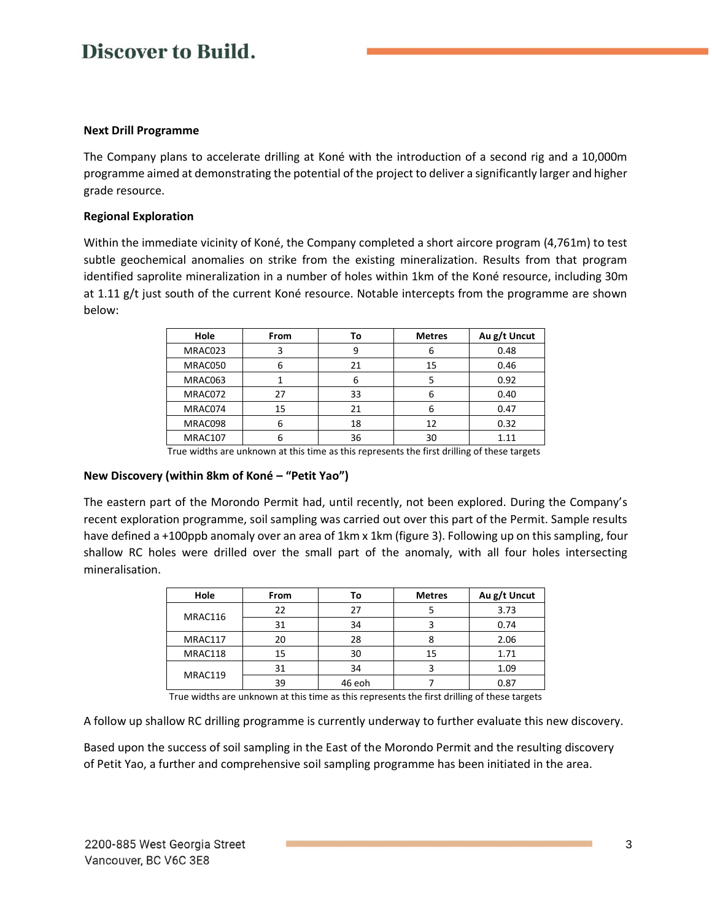#### **Next Drill Programme**

The Company plans to accelerate drilling at Koné with the introduction of a second rig and a 10,000m programme aimed at demonstrating the potential of the project to deliver a significantly larger and higher grade resource.

#### **Regional Exploration**

Within the immediate vicinity of Koné, the Company completed a short aircore program (4,761m) to test subtle geochemical anomalies on strike from the existing mineralization. Results from that program identified saprolite mineralization in a number of holes within 1km of the Koné resource, including 30m at 1.11 g/t just south of the current Koné resource. Notable intercepts from the programme are shown below:

| Hole    | From | Тο | <b>Metres</b> | Au g/t Uncut |
|---------|------|----|---------------|--------------|
| MRAC023 | 3    |    | ь             | 0.48         |
| MRAC050 | 6    | 21 | 15            | 0.46         |
| MRAC063 |      |    |               | 0.92         |
| MRAC072 | 27   | 33 | ь             | 0.40         |
| MRAC074 | 15   | 21 | 6             | 0.47         |
| MRAC098 | 6    | 18 | 12            | 0.32         |
| MRAC107 | 6    | 36 | 30            | 1.11         |

True widths are unknown at this time as this represents the first drilling of these targets

#### **New Discovery (within 8km of Koné – "Petit Yao")**

The eastern part of the Morondo Permit had, until recently, not been explored. During the Company's recent exploration programme, soil sampling was carried out over this part of the Permit. Sample results have defined a +100ppb anomaly over an area of 1km x 1km (figure 3). Following up on this sampling, four shallow RC holes were drilled over the small part of the anomaly, with all four holes intersecting mineralisation.

| Hole    | <b>From</b> | Τo     | <b>Metres</b> | Au g/t Uncut |  |
|---------|-------------|--------|---------------|--------------|--|
| MRAC116 | 22          | 27     |               | 3.73         |  |
|         | 31          | 34     |               | 0.74         |  |
| MRAC117 | 20          | 28     |               | 2.06         |  |
| MRAC118 | 15<br>30    |        | 15            | 1.71         |  |
| MRAC119 | 31          | 34     |               | 1.09         |  |
|         | 39          | 46 eoh |               | 0.87         |  |

True widths are unknown at this time as this represents the first drilling of these targets

A follow up shallow RC drilling programme is currently underway to further evaluate this new discovery.

Based upon the success of soil sampling in the East of the Morondo Permit and the resulting discovery of Petit Yao, a further and comprehensive soil sampling programme has been initiated in the area.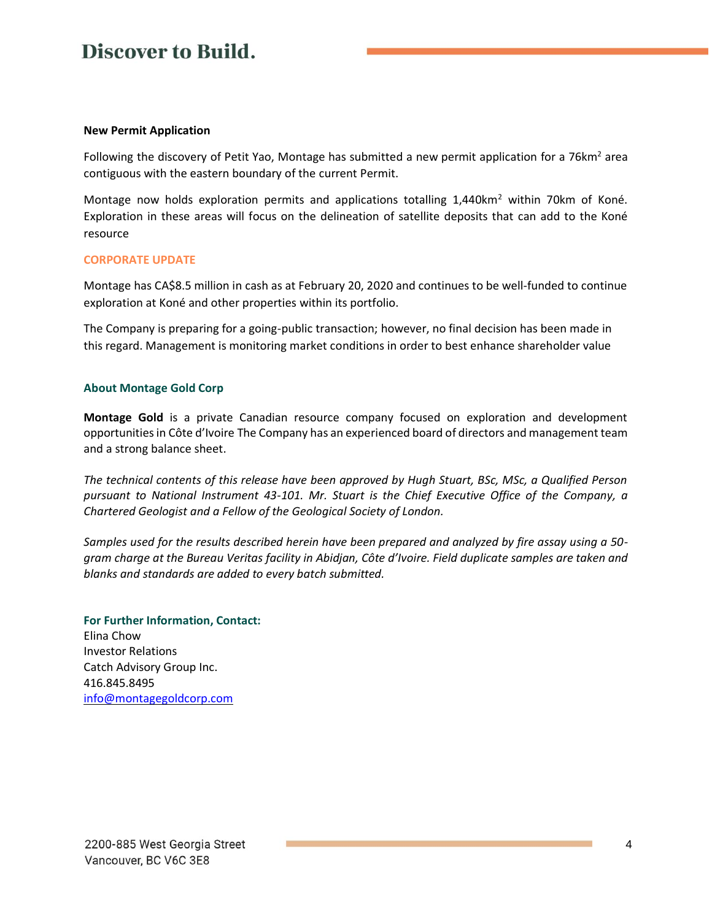#### **New Permit Application**

Following the discovery of Petit Yao, Montage has submitted a new permit application for a 76km<sup>2</sup> area contiguous with the eastern boundary of the current Permit.

Montage now holds exploration permits and applications totalling 1,440km<sup>2</sup> within 70km of Koné. Exploration in these areas will focus on the delineation of satellite deposits that can add to the Koné resource

#### **CORPORATE UPDATE**

Montage has CA\$8.5 million in cash as at February 20, 2020 and continues to be well-funded to continue exploration at Koné and other properties within its portfolio.

The Company is preparing for a going-public transaction; however, no final decision has been made in this regard. Management is monitoring market conditions in order to best enhance shareholder value

#### **About Montage Gold Corp**

**Montage Gold** is a private Canadian resource company focused on exploration and development opportunities in Côte d'Ivoire The Company has an experienced board of directors and management team and a strong balance sheet.

*The technical contents of this release have been approved by Hugh Stuart, BSc, MSc, a Qualified Person pursuant to National Instrument 43-101. Mr. Stuart is the Chief Executive Office of the Company, a Chartered Geologist and a Fellow of the Geological Society of London.* 

*Samples used for the results described herein have been prepared and analyzed by fire assay using a 50 gram charge at the Bureau Veritas facility in Abidjan, Côte d'Ivoire. Field duplicate samples are taken and blanks and standards are added to every batch submitted.*

#### **For Further Information, Contact:**

Elina Chow Investor Relations Catch Advisory Group Inc. 416.845.8495 [info@montagegoldcorp.com](mailto:info@montagegoldcorp.com)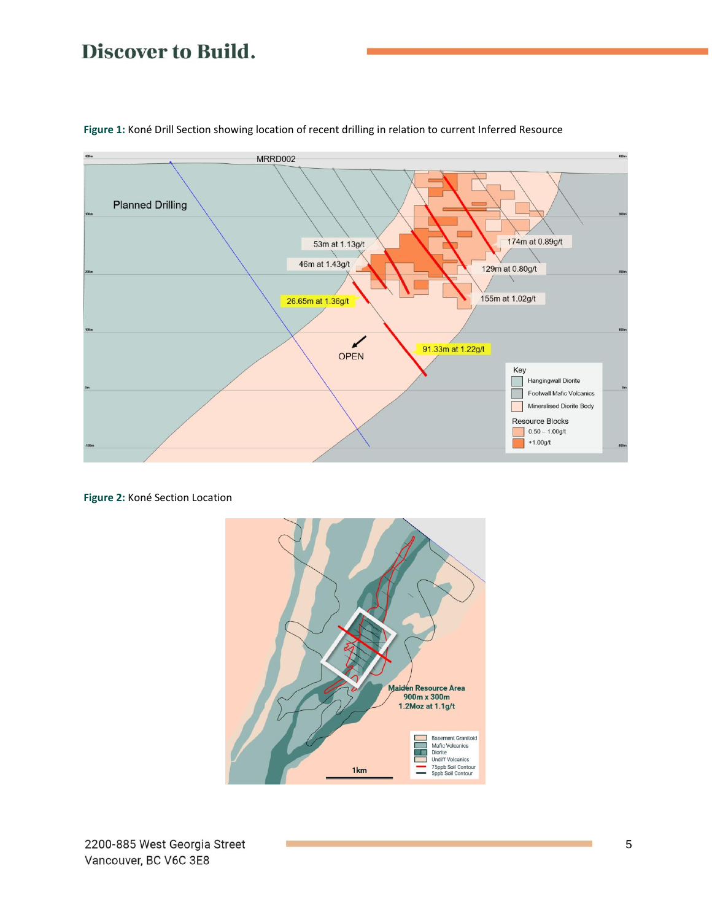

**Figure 1:** Koné Drill Section showing location of recent drilling in relation to current Inferred Resource

**Figure 2:** Koné Section Location

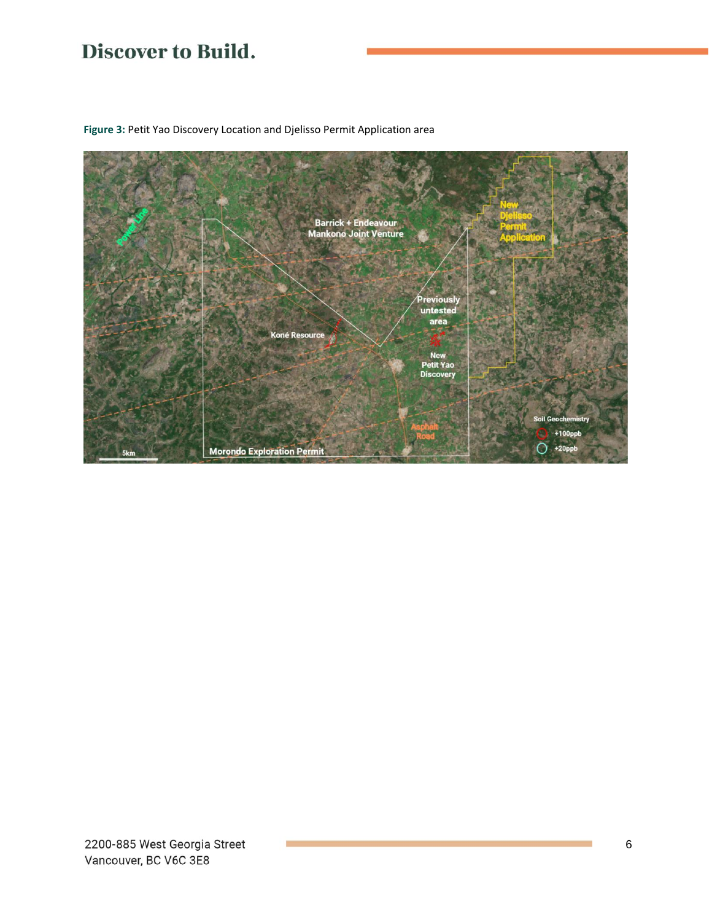

**Figure 3:** Petit Yao Discovery Location and Djelisso Permit Application area